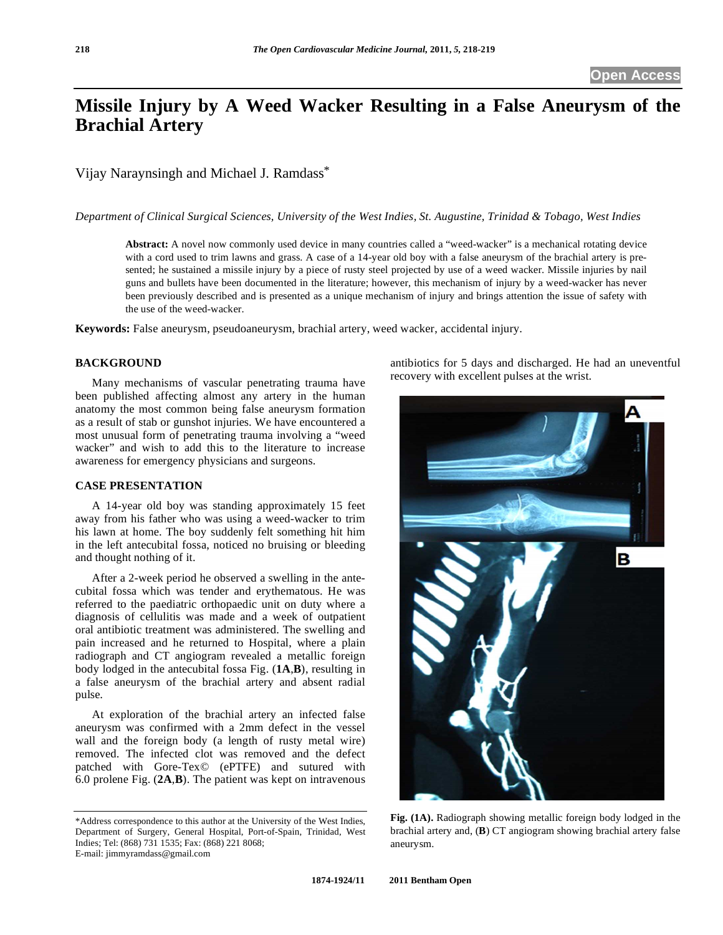# **Missile Injury by A Weed Wacker Resulting in a False Aneurysm of the Brachial Artery**

Vijay Naraynsingh and Michael J. Ramdass\*

*Department of Clinical Surgical Sciences, University of the West Indies, St. Augustine, Trinidad & Tobago, West Indies* 

**Abstract:** A novel now commonly used device in many countries called a "weed-wacker" is a mechanical rotating device with a cord used to trim lawns and grass. A case of a 14-year old boy with a false aneurysm of the brachial artery is presented; he sustained a missile injury by a piece of rusty steel projected by use of a weed wacker. Missile injuries by nail guns and bullets have been documented in the literature; however, this mechanism of injury by a weed-wacker has never been previously described and is presented as a unique mechanism of injury and brings attention the issue of safety with the use of the weed-wacker.

**Keywords:** False aneurysm, pseudoaneurysm, brachial artery, weed wacker, accidental injury.

# **BACKGROUND**

 Many mechanisms of vascular penetrating trauma have been published affecting almost any artery in the human anatomy the most common being false aneurysm formation as a result of stab or gunshot injuries. We have encountered a most unusual form of penetrating trauma involving a "weed wacker" and wish to add this to the literature to increase awareness for emergency physicians and surgeons.

#### **CASE PRESENTATION**

 A 14-year old boy was standing approximately 15 feet away from his father who was using a weed-wacker to trim his lawn at home. The boy suddenly felt something hit him in the left antecubital fossa, noticed no bruising or bleeding and thought nothing of it.

 After a 2-week period he observed a swelling in the antecubital fossa which was tender and erythematous. He was referred to the paediatric orthopaedic unit on duty where a diagnosis of cellulitis was made and a week of outpatient oral antibiotic treatment was administered. The swelling and pain increased and he returned to Hospital, where a plain radiograph and CT angiogram revealed a metallic foreign body lodged in the antecubital fossa Fig. (**1A**,**B**), resulting in a false aneurysm of the brachial artery and absent radial pulse.

 At exploration of the brachial artery an infected false aneurysm was confirmed with a 2mm defect in the vessel wall and the foreign body (a length of rusty metal wire) removed. The infected clot was removed and the defect patched with Gore-Tex© (ePTFE) and sutured with 6.0 prolene Fig. (**2A**,**B**). The patient was kept on intravenous

antibiotics for 5 days and discharged. He had an uneventful recovery with excellent pulses at the wrist.



**Fig. (1A).** Radiograph showing metallic foreign body lodged in the brachial artery and, (**B**) CT angiogram showing brachial artery false aneurysm.

<sup>\*</sup>Address correspondence to this author at the University of the West Indies, Department of Surgery, General Hospital, Port-of-Spain, Trinidad, West Indies; Tel: (868) 731 1535; Fax: (868) 221 8068; E-mail: jimmyramdass@gmail.com